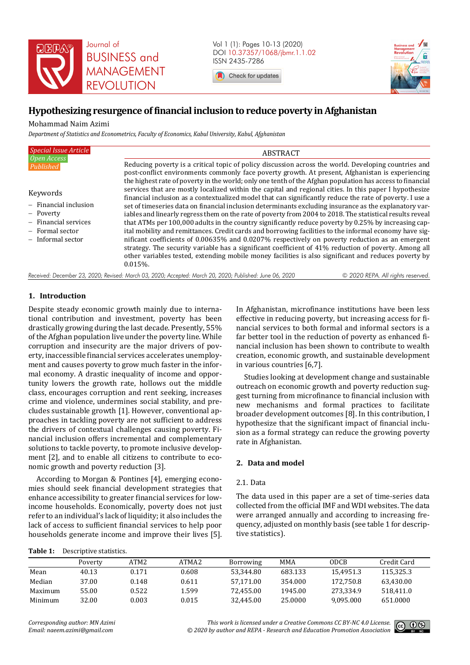

Vol 1 (1): Pages 10-13 (2020) DOI 10.37357/1068/jbmr.1.1.02 ISSN 2435-7286

Check for updates



# **Hypothesizing resurgence of financial inclusion to reduce poverty in Afghanistan**

Mohammad Naim Azimi

*Department of Statistics and Econometrics, Faculty of Economics, Kabul University, Kabul, Afghanistan* 

| <b>Special Issue Article</b>                                                                                       | <b>ABSTRACT</b>                                                                                                                                                                                                                                                                                                                                                                                                                                                                                                                                                                                                                                                                                                                                                       |  |  |  |  |
|--------------------------------------------------------------------------------------------------------------------|-----------------------------------------------------------------------------------------------------------------------------------------------------------------------------------------------------------------------------------------------------------------------------------------------------------------------------------------------------------------------------------------------------------------------------------------------------------------------------------------------------------------------------------------------------------------------------------------------------------------------------------------------------------------------------------------------------------------------------------------------------------------------|--|--|--|--|
| Open Access<br>Published                                                                                           | Reducing poverty is a critical topic of policy discussion across the world. Developing countries and<br>post-conflict environments commonly face poverty growth. At present, Afghanistan is experiencing<br>the highest rate of poverty in the world; only one tenth of the Afghan population has access to financial                                                                                                                                                                                                                                                                                                                                                                                                                                                 |  |  |  |  |
| Keywords                                                                                                           | services that are mostly localized within the capital and regional cities. In this paper I hypothesize<br>financial inclusion as a contextualized model that can significantly reduce the rate of poverty. I use a                                                                                                                                                                                                                                                                                                                                                                                                                                                                                                                                                    |  |  |  |  |
| $-$ Financial inclusion<br>- Poverty<br>$-$ Financial services<br>$-$ Formal sector<br>Informal sector<br>$\equiv$ | set of timeseries data on financial inclusion determinants excluding insurance as the explanatory var-<br>iables and linearly regress them on the rate of poverty from 2004 to 2018. The statistical results reveal<br>that ATMs per 100,000 adults in the country significantly reduce poverty by 0.25% by increasing cap-<br>ital mobility and remittances. Credit cards and borrowing facilities to the informal economy have sig-<br>nificant coefficients of 0.00635% and 0.0207% respectively on poverty reduction as an emergent<br>strategy. The security variable has a significant coefficient of 41% reduction of poverty. Among all<br>other variables tested, extending mobile money facilities is also significant and reduces poverty by<br>$0.015%$ . |  |  |  |  |

*Received: December 23, 2020; Revised: March 03, 2020; Accepted: March 20, 2020; Published: June 06, 2020 © 2020 REPA. All rights reserved.*

# **1. Introduction**

Despite steady economic growth mainly due to international contribution and investment, poverty has been drastically growing during the last decade. Presently, 55% of the Afghan population live under the poverty line. While corruption and insecurity are the major drivers of poverty, inaccessible financial services accelerates unemployment and causes poverty to grow much faster in the informal economy. A drastic inequality of income and opportunity lowers the growth rate, hollows out the middle class, encourages corruption and rent seeking, increases crime and violence, undermines social stability, and precludes sustainable growth [1]. However, conventional approaches in tackling poverty are not sufficient to address the drivers of contextual challenges causing poverty. Financial inclusion offers incremental and complementary solutions to tackle poverty, to promote inclusive development [2], and to enable all citizens to contribute to economic growth and poverty reduction [3].

According to Morgan & Pontines [4], emerging economies should seek financial development strategies that enhance accessibility to greater financial services for lowincome households. Economically, poverty does not just refer to an individual's lack of liquidity; it also includes the lack of access to sufficient financial services to help poor households generate income and improve their lives [5].

In Afghanistan, microfinance institutions have been less effective in reducing poverty, but increasing access for financial services to both formal and informal sectors is a far better tool in the reduction of poverty as enhanced financial inclusion has been shown to contribute to wealth creation, economic growth, and sustainable development in various countries [6,7].

Studies looking at development change and sustainable outreach on economic growth and poverty reduction suggest turning from microfinance to financial inclusion with new mechanisms and formal practices to facilitate broader development outcomes [8]. In this contribution, I hypothesize that the significant impact of financial inclusion as a formal strategy can reduce the growing poverty rate in Afghanistan.

# **2. Data and model**

## 2.1. Data

The data used in this paper are a set of time-series data collected from the official IMF and WDI websites. The data were arranged annually and according to increasing frequency, adjusted on monthly basis (see table 1 for descriptive statistics).

#### **Table 1:** Descriptive statistics.

|         | Poverty | ATM <sub>2</sub> | ATMA <sub>2</sub> | <b>Borrowing</b> | <b>MMA</b> | <b>ODCB</b> | Credit Card |
|---------|---------|------------------|-------------------|------------------|------------|-------------|-------------|
| Mean    | 40.13   | 0.171            | 0.608             | 53.344.80        | 683.133    | 15.4951.3   | 115.325.3   |
| Median  | 37.00   | 0.148            | 0.611             | 57.171.00        | 354.000    | 172.750.8   | 63.430.00   |
| Maximum | 55.00   | 0.522            | 1.599             | 72.455.00        | 1945.00    | 273.334.9   | 518.411.0   |
| Minimum | 32.00   | 0.003            | 0.015             | 32.445.00        | 25.0000    | 9.095.000   | 651.0000    |

*Corresponding author: MN Azimi Email: naeem.azimi@gmail.com*

*This work is licensed under a Creative Commons CC BY-NC 4.0 License. © 2020 by author and REPA - Research and Education Promotion Association*

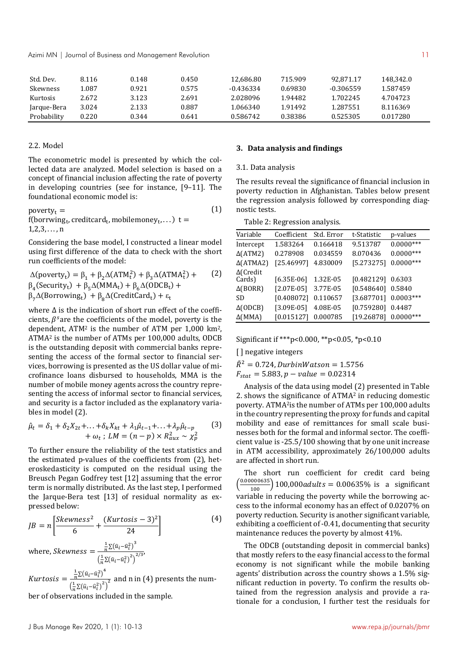Azimi MN | Journal of Business and Management Revolution 11 and 11 and 2008 11 and 2008 11 and 2008 11 and 200

| Std. Dev.       | 8.116 | 0.148 | 0.450 | 12.686.80 | 715.909 | 92.871.17 | 148.342.0 |
|-----------------|-------|-------|-------|-----------|---------|-----------|-----------|
| <b>Skewness</b> | 1.087 | 0.921 | 0.575 | -0.436334 | 0.69830 | -0.306559 | 1.587459  |
| <b>Kurtosis</b> | 2.672 | 3.123 | 2.691 | 2.028096  | 1.94482 | 1.702245  | 4.704723  |
| Jarque-Bera     | 3.024 | 2.133 | 0.887 | 1.066340  | 1.91492 | 1.287551  | 8.116369  |
| Probability     | 0.220 | 0.344 | 0.641 | 0.586742  | 0.38386 | 0.525305  | 0.017280  |

## 2.2. Model

The econometric model is presented by which the collected data are analyzed. Model selection is based on a concept of financial inclusion affecting the rate of poverty in developing countries (see for instance, [9–11]. The foundational economic model is:

poverty $_t =$  $f($ borrwing<sub>t</sub>, creditcard<sub>t</sub>, mobilemoney<sub>t</sub>, . . . ) t =  $1, 2, 3, \ldots, n$ (1)

Considering the base model, I constructed a linear model using first difference of the data to check with the short run coefficients of the model:

$$
\Delta(\text{powerty}_t) = \beta_1 + \beta_2 \Delta(\text{ATM}_t^2) + \beta_3 \Delta(\text{ATM}A_t^2) + \beta_4(\text{Security}_t) + \beta_5 \Delta(\text{MM}A_t) + \beta_6 \Delta(\text{ODCB}_t) + \beta_7 \Delta(\text{Borrowing}_t) + \beta_8 \Delta(\text{CreditCard}_t) + \varepsilon_t
$$

where Δ is the indication of short run effect of the coefficients,  $\beta^s$  are the coefficients of the model, poverty is the dependent,  $ATM<sup>2</sup>$  is the number of ATM per 1,000 km<sup>2</sup>, ATMA2 is the number of ATMs per 100,000 adults, ODCB is the outstanding deposit with commercial banks representing the access of the formal sector to financial services, borrowing is presented as the US dollar value of microfinance loans disbursed to households, MMA is the number of mobile money agents across the country representing the access of informal sector to financial services, and security is a factor included as the explanatory variables in model (2).

$$
\hat{\mu}_t = \delta_1 + \delta_2 X_{2t} + ... + \delta_k X_{kt} + \lambda_1 \hat{\mu}_{t-1} + ... + \lambda_p \hat{\mu}_{t-p} \tag{3} \n+ \omega_t; LM = (n-p) \times R_{aux}^2 \sim \chi_p^2
$$

To further ensure the reliability of the test statistics and the estimated p-values of the coefficients from (2), heteroskedasticity is computed on the residual using the Breusch Pegan Godfrey test [12] assuming that the error term is normally distributed. As the last step, I performed the Jarque-Bera test [13] of residual normality as expressed below:

$$
JB = n\left[\frac{Skewness^2}{6} + \frac{(Kurtosis - 3)^2}{24}\right]
$$
  
where, Skewness = 
$$
\frac{\frac{1}{n}\Sigma(\hat{u}_i - \hat{u}_i^2)^3}{\left(\frac{1}{n}\Sigma(\hat{u}_i - \hat{u}_i^2)\right)^{2/3}},
$$
 (4)

Kurtosis =  $\frac{1}{n} \Sigma (\hat{u}_i - \hat{u}_i^2)^4$  $\left(\frac{n^{2(\alpha_i - \alpha_i)}}{n^2}\right)^2$  and n in (4) presents the num-

ber of observations included in the sample.

#### **3. Data analysis and findings**

#### 3.1. Data analysis

The results reveal the significance of financial inclusion in poverty reduction in Afghanistan. Tables below present the regression analysis followed by corresponding diagnostic tests.

Table 2: Regression analysis.

| Variable                   | Coefficient  | Std. Error | t-Statistic | p-values    |
|----------------------------|--------------|------------|-------------|-------------|
| Intercept                  | 1.583264     | 0.166418   | 9.513787    | $0.0000***$ |
| $\Delta$ (ATM2)            | 0.278908     | 0.034559   | 8.070436    | $0.0000***$ |
| $\Delta$ (ATMA2)           | [25.46997]   | 4.830009   | [5.273275]  | $0.0000***$ |
| $\Delta$ (Credit<br>Cards) | $[6.35E-06]$ | 1.32E-05   | [0.482129]  | 0.6303      |
| $\Delta$ (BORR)            | $[2.07E-05]$ | 3.77E-05   | [0.548640]  | 0.5840      |
| SD                         | [0.408072]   | 0.110657   | [3.687701]  | $0.0003***$ |
| $\Delta$ (ODCB)            | $[3.09E-05]$ | 4.08E-05   | [0.759280]  | 0.4487      |
| $\Delta$ (MMA)             | [0.015127]   | 0.000785   | [19.26878]  | $0.0000***$ |

Significant if \*\*\*p<0.000, \*\*p<0.05, \*p<0.10

[] negative integers

 $\bar{R}^2 = 0.724$ , DurbinWatson = 1.5756

 $F_{stat} = 5.883, p-value = 0.02314$ 

Analysis of the data using model (2) presented in Table 2. shows the significance of ATMA2 in reducing domestic poverty. ATMA2is the number of ATMs per 100,000 adults in the country representing the proxy for funds and capital mobility and ease of remittances for small scale businesses both for the formal and informal sector. The coefficient value is -25.5/100 showing that by one unit increase in ATM accessibility, approximately 26/100,000 adults are affected in short run.

The short run coefficient for credit card being  $\left(\frac{0.00000635}{100}\right)$  100,000 *adults* = 0.00635% is a significant variable in reducing the poverty while the borrowing access to the informal economy has an effect of 0.0207% on poverty reduction. Security is another significant variable, exhibiting a coefficient of -0.41, documenting that security maintenance reduces the poverty by almost 41%.

The ODCB (outstanding deposit in commercial banks) that mostly refers to the easy financial access to the formal economy is not significant while the mobile banking agents' distribution across the country shows a 1.5% significant reduction in poverty. To confirm the results obtained from the regression analysis and provide a rationale for a conclusion, I further test the residuals for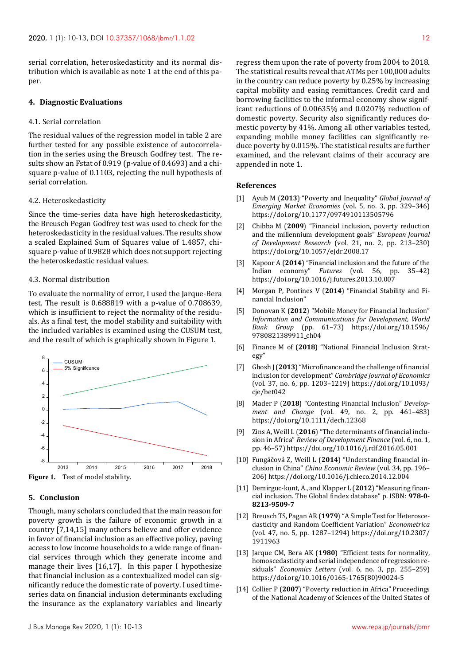serial correlation, heteroskedasticity and its normal distribution which is available as note 1 at the end of this paper.

#### **4. Diagnostic Evaluations**

#### 4.1. Serial correlation

The residual values of the regression model in table 2 are further tested for any possible existence of autocorrelation in the series using the Breusch Godfrey test. The results show an Fstat of 0.919 (p-value of 0.4693) and a chisquare p-value of 0.1103, rejecting the null hypothesis of serial correlation.

#### 4.2. Heteroskedasticity

Since the time-series data have high heteroskedasticity, the Breusch Pegan Godfrey test was used to check for the heteroskedasticity in the residual values. The results show a scaled Explained Sum of Squares value of 1.4857, chisquare p-value of 0.9828 which does not support rejecting the heteroskedastic residual values.

## 4.3. Normal distribution

To evaluate the normality of error, I used the Jarque-Bera test. The result is 0.688819 with a p-value of 0.708639, which is insufficient to reject the normality of the residuals. As a final test, the model stability and suitability with the included variables is examined using the CUSUM test, and the result of which is graphically shown in Figure 1.



**Figure 1.** Test of model stability.

## **5. Conclusion**

Though, many scholars concluded that the main reason for poverty growth is the failure of economic growth in a country [7,14,15] many others believe and offer evidence in favor of financial inclusion as an effective policy, paving access to low income households to a wide range of financial services through which they generate income and manage their lives [16,17]. In this paper I hypothesize that financial inclusion as a contextualized model can significantly reduce the domestic rate of poverty. I used timeseries data on financial inclusion determinants excluding the insurance as the explanatory variables and linearly regress them upon the rate of poverty from 2004 to 2018. The statistical results reveal that ATMs per 100,000 adults in the country can reduce poverty by 0.25% by increasing capital mobility and easing remittances. Credit card and borrowing facilities to the informal economy show significant reductions of 0.00635% and 0.0207% reduction of domestic poverty. Security also significantly reduces domestic poverty by 41%. Among all other variables tested, expanding mobile money facilities can significantly reduce poverty by 0.015%. The statistical results are further examined, and the relevant claims of their accuracy are appended in note 1.

## **References**

- [1] Ayub M (**2013**) "Poverty and Inequality" *Global Journal of Emerging Market Economies* (vol. 5, no. 3, pp. 329–346) https://doi.org/10.1177/0974910113505796
- [2] Chibba M (**2009**) "Financial inclusion, poverty reduction and the millennium development goals" *European Journal of Development Research* (vol. 21, no. 2, pp. 213–230) https://doi.org/10.1057/ejdr.2008.17
- [3] Kapoor A (**2014**) "Financial inclusion and the future of the Indian economy" *Futures* (vol. 56, pp. 35–42) https://doi.org/10.1016/j.futures.2013.10.007
- [4] Morgan P, Pontines V (**2014**) "Financial Stability and Financial Inclusion"
- [5] Donovan K (**2012**) "Mobile Money for Financial Inclusion" *Information and Communications for Development, World Bank Group* (pp. 61–73) https://doi.org/10.1596/ 9780821389911\_ch04
- [6] Finance M of (**2018**) "National Financial Inclusion Strategy"
- [7] Ghosh J (**2013**) "Microfinance and the challenge of financial inclusion for development" *Cambridge Journal of Economics* (vol. 37, no. 6, pp. 1203–1219) https://doi.org/10.1093/ cje/bet042
- [8] Mader P (**2018**) "Contesting Financial Inclusion" *Development and Change* (vol. 49, no. 2, pp. 461–483) https://doi.org/10.1111/dech.12368
- [9] Zins A, Weill L (**2016**) "The determinants of financial inclusion in Africa" *Review of Development Finance* (vol. 6, no. 1, pp. 46–57) https://doi.org/10.1016/j.rdf.2016.05.001
- [10] Fungáčová Z, Weill L (**2014**) "Understanding financial inclusion in China" *China Economic Review* (vol. 34, pp. 196– 206) https://doi.org/10.1016/j.chieco.2014.12.004
- [11] Demirguc-kunt, A., and Klapper L (**2012**) "Measuring financial inclusion. The Global findex database" p. ISBN: **978-0- 8213-9509-7**
- [12] Breusch TS, Pagan AR (**1979**) "A Simple Test for Heteroscedasticity and Random Coefficient Variation" *Econometrica* (vol. 47, no. 5, pp. 1287–1294) https://doi.org/10.2307/ 1911963
- [13] Jarque CM, Bera AK (**1980**) "Efficient tests for normality, homoscedasticity and serial independence of regression residuals" *Economics Letters* (vol. 6, no. 3, pp. 255–259) https://doi.org/10.1016/0165-1765(80)90024-5
- [14] Collier P (**2007**) "Poverty reduction in Africa" Proceedings of the National Academy of Sciences of the United States of